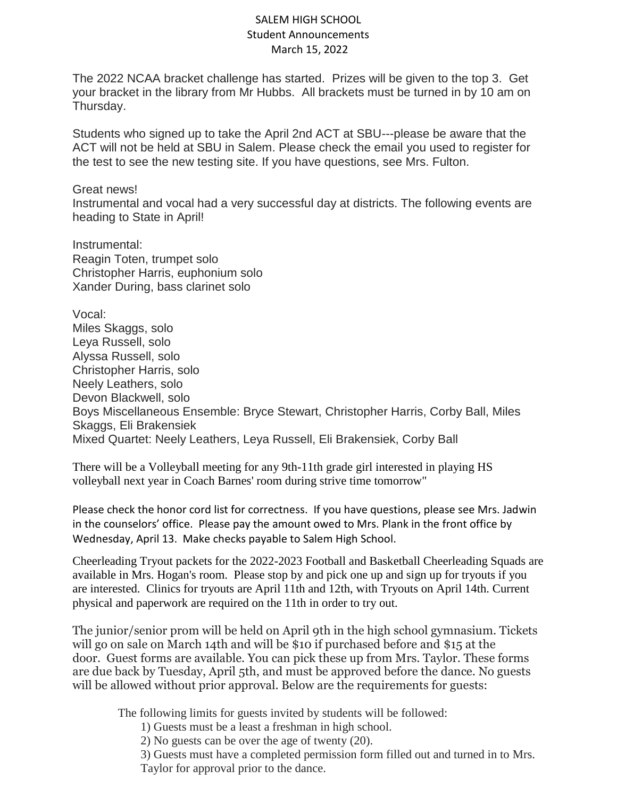## SALEM HIGH SCHOOL Student Announcements March 15, 2022

The 2022 NCAA bracket challenge has started. Prizes will be given to the top 3. Get your bracket in the library from Mr Hubbs. All brackets must be turned in by 10 am on Thursday.

Students who signed up to take the April 2nd ACT at SBU---please be aware that the ACT will not be held at SBU in Salem. Please check the email you used to register for the test to see the new testing site. If you have questions, see Mrs. Fulton.

## Great news!

Instrumental and vocal had a very successful day at districts. The following events are heading to State in April!

Instrumental: Reagin Toten, trumpet solo Christopher Harris, euphonium solo Xander During, bass clarinet solo

Vocal: Miles Skaggs, solo Leya Russell, solo Alyssa Russell, solo Christopher Harris, solo Neely Leathers, solo Devon Blackwell, solo Boys Miscellaneous Ensemble: Bryce Stewart, Christopher Harris, Corby Ball, Miles Skaggs, Eli Brakensiek Mixed Quartet: Neely Leathers, Leya Russell, Eli Brakensiek, Corby Ball

There will be a Volleyball meeting for any 9th-11th grade girl interested in playing HS volleyball next year in Coach Barnes' room during strive time tomorrow"

Please check the honor cord list for correctness. If you have questions, please see Mrs. Jadwin in the counselors' office. Please pay the amount owed to Mrs. Plank in the front office by Wednesday, April 13. Make checks payable to Salem High School.

Cheerleading Tryout packets for the 2022-2023 Football and Basketball Cheerleading Squads are available in Mrs. Hogan's room. Please stop by and pick one up and sign up for tryouts if you are interested. Clinics for tryouts are April 11th and 12th, with Tryouts on April 14th. Current physical and paperwork are required on the 11th in order to try out.

The junior/senior prom will be held on April 9th in the high school gymnasium. Tickets will go on sale on March 14th and will be \$10 if purchased before and \$15 at the door. Guest forms are available. You can pick these up from Mrs. Taylor. These forms are due back by Tuesday, April 5th, and must be approved before the dance. No guests will be allowed without prior approval. Below are the requirements for guests:

The following limits for guests invited by students will be followed:

1) Guests must be a least a freshman in high school.

2) No guests can be over the age of twenty (20).

3) Guests must have a completed permission form filled out and turned in to Mrs. Taylor for approval prior to the dance.